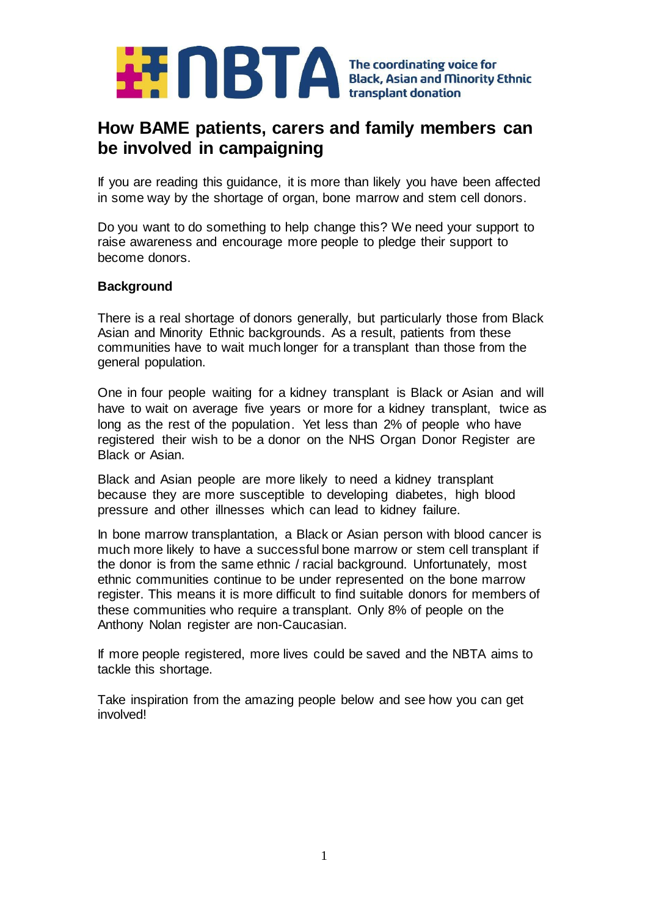

# **How BAME patients, carers and family members can be involved in campaigning**

If you are reading this guidance, it is more than likely you have been affected in some way by the shortage of organ, bone marrow and stem cell donors.

Do you want to do something to help change this? We need your support to raise awareness and encourage more people to pledge their support to become donors.

### **Background**

There is a real shortage of donors generally, but particularly those from Black Asian and Minority Ethnic backgrounds. As a result, patients from these communities have to wait much longer for a transplant than those from the general population.

One in four people waiting for a kidney transplant is Black or Asian and will have to wait on average five years or more for a kidney transplant, twice as long as the rest of the population. Yet less than 2% of people who have registered their wish to be a donor on the NHS Organ Donor Register are Black or Asian.

Black and Asian people are more likely to need a kidney transplant because they are more susceptible to developing diabetes, high blood pressure and other illnesses which can lead to kidney failure.

In bone marrow transplantation, a Black or Asian person with blood cancer is much more likely to have a successful bone marrow or stem cell transplant if the donor is from the same ethnic / racial background. Unfortunately, most ethnic communities continue to be under represented on the bone marrow register. This means it is more difficult to find suitable donors for members of these communities who require a transplant. Only 8% of people on the Anthony Nolan register are non-Caucasian.

If more people registered, more lives could be saved and the NBTA aims to tackle this shortage.

Take inspiration from the amazing people below and see how you can get involved!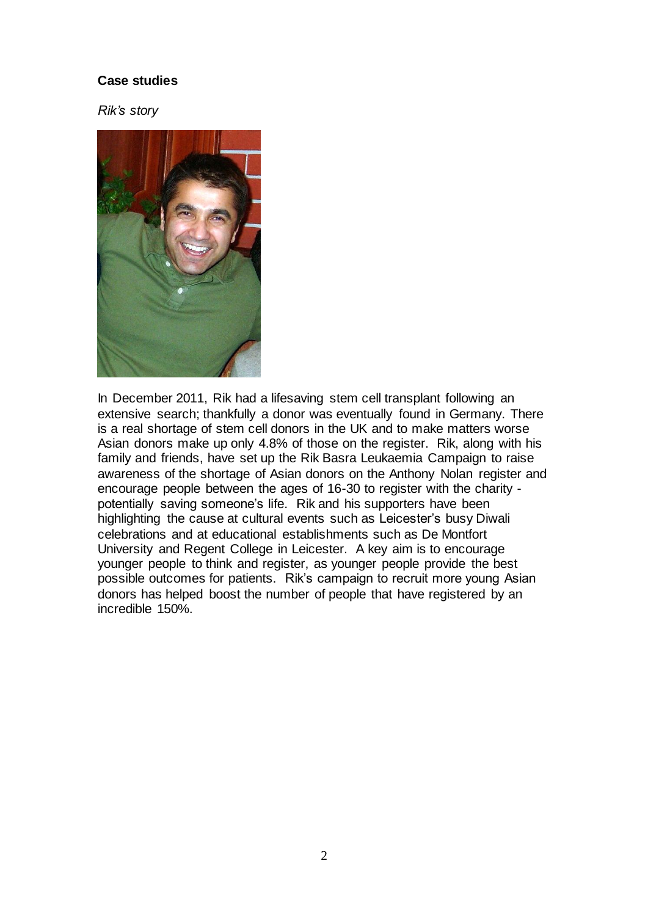### **Case studies**

*Rik's story*



In December 2011, Rik had a lifesaving stem cell transplant following an extensive search; thankfully a donor was eventually found in Germany. There is a real shortage of stem cell donors in the UK and to make matters worse Asian donors make up only 4.8% of those on the register. Rik, along with his family and friends, have set up the Rik Basra Leukaemia Campaign to raise awareness of the shortage of Asian donors on the Anthony Nolan register and encourage people between the ages of 16-30 to register with the charity potentially saving someone's life. Rik and his supporters have been highlighting the cause at cultural events such as Leicester's busy Diwali celebrations and at educational establishments such as De Montfort University and Regent College in Leicester. A key aim is to encourage younger people to think and register, as younger people provide the best possible outcomes for patients. Rik's campaign to recruit more young Asian donors has helped boost the number of people that have registered by an incredible 150%.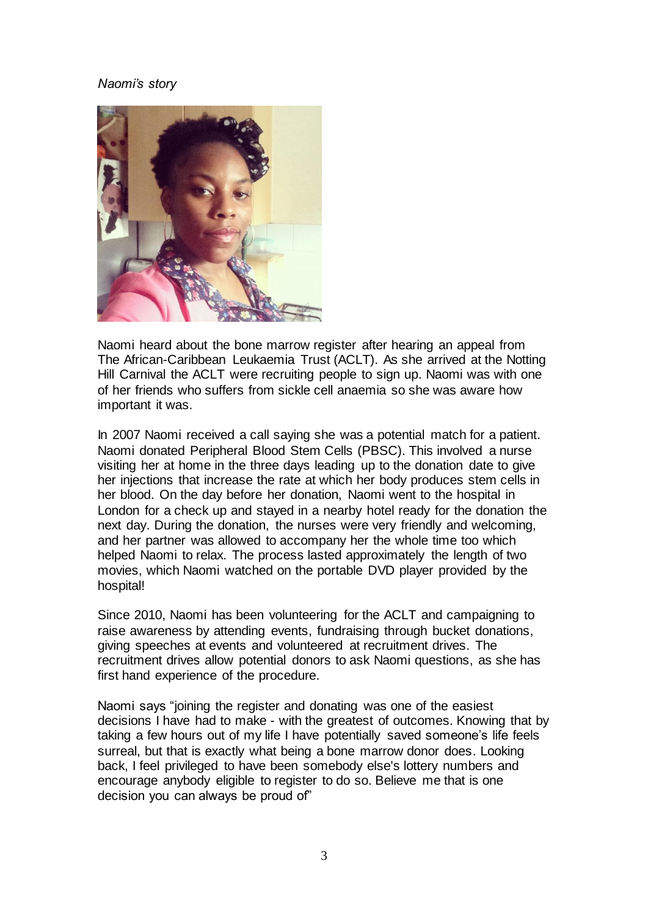## *Naomi's story*



Naomi heard about the bone marrow register after hearing an appeal from The African-Caribbean Leukaemia Trust (ACLT). As she arrived at the Notting Hill Carnival the ACLT were recruiting people to sign up. Naomi was with one of her friends who suffers from sickle cell anaemia so she was aware how important it was.

In 2007 Naomi received a call saying she was a potential match for a patient. Naomi donated Peripheral Blood Stem Cells (PBSC). This involved a nurse visiting her at home in the three days leading up to the donation date to give her injections that increase the rate at which her body produces stem cells in her blood. On the day before her donation, Naomi went to the hospital in London for a check up and stayed in a nearby hotel ready for the donation the next day. During the donation, the nurses were very friendly and welcoming, and her partner was allowed to accompany her the whole time too which helped Naomi to relax. The process lasted approximately the length of two movies, which Naomi watched on the portable DVD player provided by the hospital!

Since 2010, Naomi has been volunteering for the ACLT and campaigning to raise awareness by attending events, fundraising through bucket donations, giving speeches at events and volunteered at recruitment drives. The recruitment drives allow potential donors to ask Naomi questions, as she has first hand experience of the procedure.

Naomi says "joining the register and donating was one of the easiest decisions I have had to make - with the greatest of outcomes. Knowing that by taking a few hours out of my life I have potentially saved someone's life feels surreal, but that is exactly what being a bone marrow donor does. Looking back, I feel privileged to have been somebody else's lottery numbers and encourage anybody eligible to register to do so. Believe me that is one decision you can always be proud of"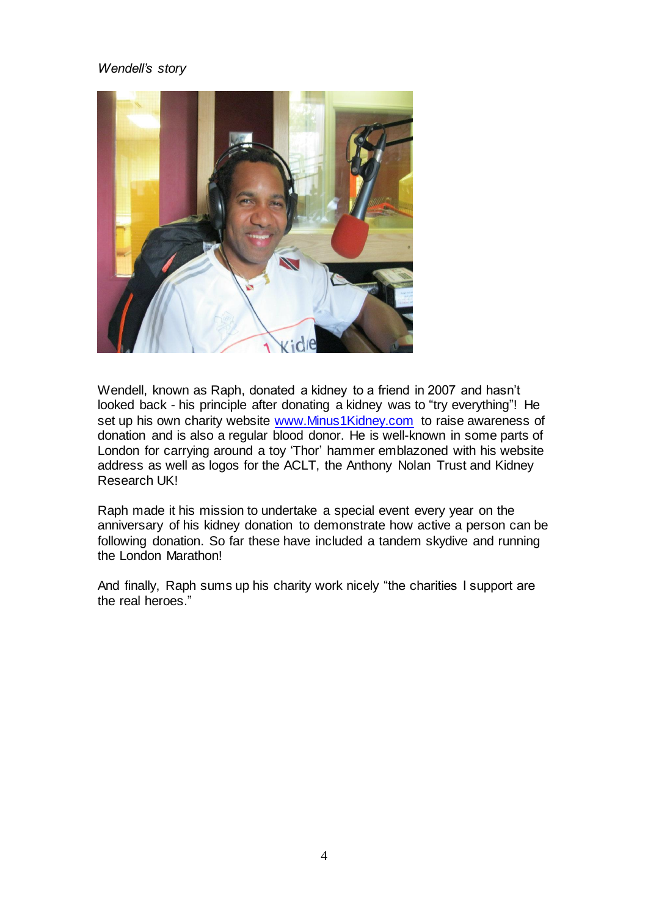# *Wendell's story*



Wendell, known as Raph, donated a kidney to a friend in 2007 and hasn't looked back - his principle after donating a kidney was to "try everything"! He set up his own charity website [www.Minus1Kidney.com](http://www.minus1kidney.com/) to raise awareness of donation and is also a regular blood donor. He is well-known in some parts of London for carrying around a toy 'Thor' hammer emblazoned with his website address as well as logos for the ACLT, the Anthony Nolan Trust and Kidney Research UK!

Raph made it his mission to undertake a special event every year on the anniversary of his kidney donation to demonstrate how active a person can be following donation. So far these have included a tandem skydive and running the London Marathon!

And finally, Raph sums up his charity work nicely "the charities I support are the real heroes."